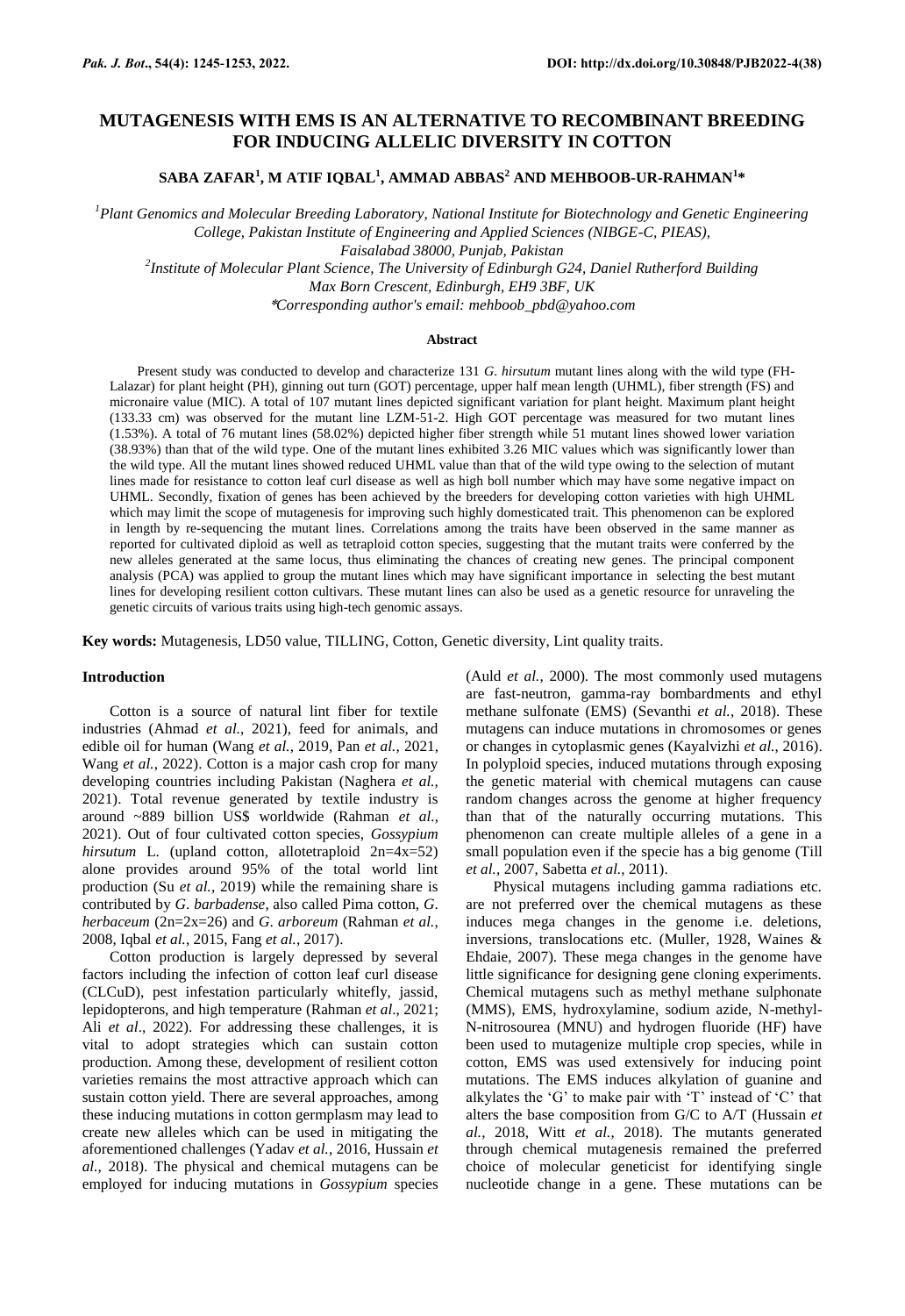# **MUTAGENESIS WITH EMS IS AN ALTERNATIVE TO RECOMBINANT BREEDING FOR INDUCING ALLELIC DIVERSITY IN COTTON**

**SABA ZAFAR<sup>1</sup> , M ATIF IQBAL<sup>1</sup> , AMMAD ABBAS<sup>2</sup> AND MEHBOOB-UR-RAHMAN<sup>1</sup> \***

*<sup>1</sup>Plant Genomics and Molecular Breeding Laboratory, National Institute for Biotechnology and Genetic Engineering College, Pakistan Institute of Engineering and Applied Sciences (NIBGE-C, PIEAS), Faisalabad 38000, Punjab, Pakistan*

*2 Institute of Molecular Plant Science, The University of Edinburgh G24, Daniel Rutherford Building Max Born Crescent, Edinburgh, EH9 3BF, UK*

\**Corresponding author's email: mehboob\_pbd@yahoo.com*

## **Abstract**

Present study was conducted to develop and characterize 131 *G*. *hirsutum* mutant lines along with the wild type (FH-Lalazar) for plant height (PH), ginning out turn (GOT) percentage, upper half mean length (UHML), fiber strength (FS) and micronaire value (MIC). A total of 107 mutant lines depicted significant variation for plant height. Maximum plant height (133.33 cm) was observed for the mutant line LZM-51-2. High GOT percentage was measured for two mutant lines (1.53%). A total of 76 mutant lines (58.02%) depicted higher fiber strength while 51 mutant lines showed lower variation (38.93%) than that of the wild type. One of the mutant lines exhibited 3.26 MIC values which was significantly lower than the wild type. All the mutant lines showed reduced UHML value than that of the wild type owing to the selection of mutant lines made for resistance to cotton leaf curl disease as well as high boll number which may have some negative impact on UHML. Secondly, fixation of genes has been achieved by the breeders for developing cotton varieties with high UHML which may limit the scope of mutagenesis for improving such highly domesticated trait. This phenomenon can be explored in length by re-sequencing the mutant lines. Correlations among the traits have been observed in the same manner as reported for cultivated diploid as well as tetraploid cotton species, suggesting that the mutant traits were conferred by the new alleles generated at the same locus, thus eliminating the chances of creating new genes. The principal component analysis (PCA) was applied to group the mutant lines which may have significant importance in selecting the best mutant lines for developing resilient cotton cultivars. These mutant lines can also be used as a genetic resource for unraveling the genetic circuits of various traits using high-tech genomic assays.

**Key words:** Mutagenesis, LD50 value, TILLING, Cotton, Genetic diversity, Lint quality traits.

## **Introduction**

Cotton is a source of natural lint fiber for textile industries (Ahmad *et al.*, 2021), feed for animals, and edible oil for human (Wang *et al.*, 2019, Pan *et al.*, 2021, Wang *et al.*, 2022). Cotton is a major cash crop for many developing countries including Pakistan (Naghera *et al.*, 2021). Total revenue generated by textile industry is around ~889 billion US\$ worldwide (Rahman *et al.*, 2021). Out of four cultivated cotton species, *Gossypium hirsutum* L. (upland cotton, allotetraploid 2n=4x=52) alone provides around 95% of the total world lint production (Su *et al.*, 2019) while the remaining share is contributed by *G*. *barbadense*, also called Pima cotton, *G*. *herbaceum* (2n=2x=26) and *G*. *arboreum* (Rahman *et al.*, 2008, Iqbal *et al.*, 2015, Fang *et al.*, 2017).

Cotton production is largely depressed by several factors including the infection of cotton leaf curl disease (CLCuD), pest infestation particularly whitefly, jassid, lepidopterons, and high temperature (Rahman *et al*., 2021; Ali *et al*., 2022). For addressing these challenges, it is vital to adopt strategies which can sustain cotton production. Among these, development of resilient cotton varieties remains the most attractive approach which can sustain cotton yield. There are several approaches, among these inducing mutations in cotton germplasm may lead to create new alleles which can be used in mitigating the aforementioned challenges (Yadav *et al.*, 2016, Hussain *et al.*, 2018). The physical and chemical mutagens can be employed for inducing mutations in *Gossypium* species (Auld *et al.*, 2000). The most commonly used mutagens are fast-neutron, gamma-ray bombardments and ethyl methane sulfonate (EMS) (Sevanthi *et al.*, 2018). These mutagens can induce mutations in chromosomes or genes or changes in cytoplasmic genes (Kayalvizhi *et al.*, 2016). In polyploid species, induced mutations through exposing the genetic material with chemical mutagens can cause random changes across the genome at higher frequency than that of the naturally occurring mutations. This phenomenon can create multiple alleles of a gene in a small population even if the specie has a big genome (Till *et al.*, 2007, Sabetta *et al.*, 2011).

Physical mutagens including gamma radiations etc. are not preferred over the chemical mutagens as these induces mega changes in the genome i.e. deletions, inversions, translocations etc. (Muller, 1928, Waines & Ehdaie, 2007). These mega changes in the genome have little significance for designing gene cloning experiments. Chemical mutagens such as methyl methane sulphonate (MMS), EMS, hydroxylamine, sodium azide, N-methyl-N-nitrosourea (MNU) and hydrogen fluoride (HF) have been used to mutagenize multiple crop species, while in cotton, EMS was used extensively for inducing point mutations. The EMS induces alkylation of guanine and alkylates the 'G' to make pair with 'T' instead of 'C' that alters the base composition from G/C to A/T (Hussain *et al.*, 2018, Witt *et al.*, 2018). The mutants generated through chemical mutagenesis remained the preferred choice of molecular geneticist for identifying single nucleotide change in a gene. These mutations can be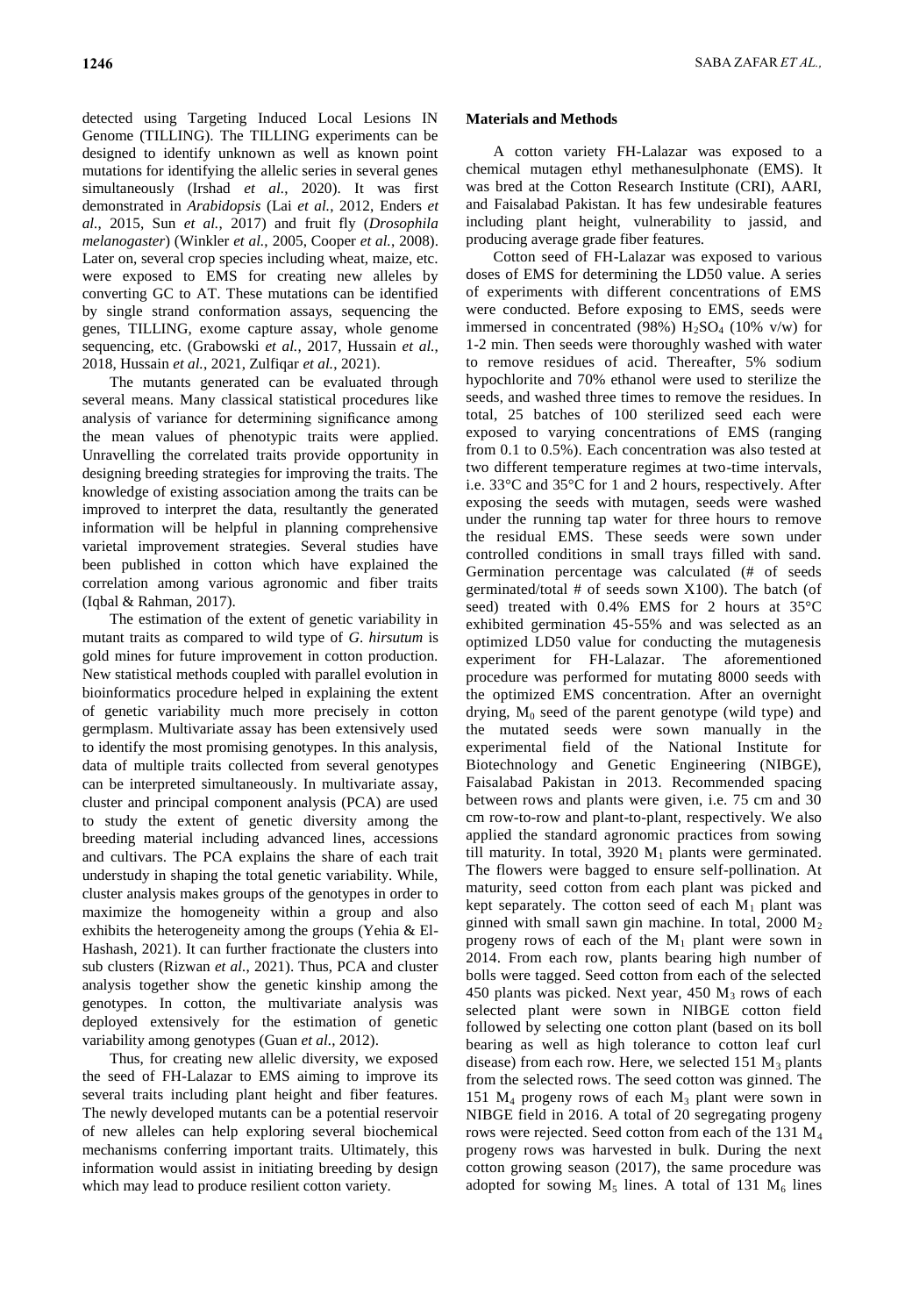detected using Targeting Induced Local Lesions IN Genome (TILLING). The TILLING experiments can be designed to identify unknown as well as known point mutations for identifying the allelic series in several genes simultaneously (Irshad *et al.*, 2020). It was first demonstrated in *Arabidopsis* (Lai *et al.*, 2012, Enders *et al.*, 2015, Sun *et al.*, 2017) and fruit fly (*Drosophila melanogaster*) (Winkler *et al.*, 2005, Cooper *et al.*, 2008). Later on, several crop species including wheat, maize, etc. were exposed to EMS for creating new alleles by converting GC to AT. These mutations can be identified by single strand conformation assays, sequencing the genes, TILLING, exome capture assay, whole genome sequencing, etc. (Grabowski *et al.*, 2017, Hussain *et al.*, 2018, Hussain *et al.*, 2021, Zulfiqar *et al.*, 2021).

The mutants generated can be evaluated through several means. Many classical statistical procedures like analysis of variance for determining significance among the mean values of phenotypic traits were applied. Unravelling the correlated traits provide opportunity in designing breeding strategies for improving the traits. The knowledge of existing association among the traits can be improved to interpret the data, resultantly the generated information will be helpful in planning comprehensive varietal improvement strategies. Several studies have been published in cotton which have explained the correlation among various agronomic and fiber traits (Iqbal & Rahman, 2017).

The estimation of the extent of genetic variability in mutant traits as compared to wild type of *G*. *hirsutum* is gold mines for future improvement in cotton production. New statistical methods coupled with parallel evolution in bioinformatics procedure helped in explaining the extent of genetic variability much more precisely in cotton germplasm. Multivariate assay has been extensively used to identify the most promising genotypes. In this analysis, data of multiple traits collected from several genotypes can be interpreted simultaneously. In multivariate assay, cluster and principal component analysis (PCA) are used to study the extent of genetic diversity among the breeding material including advanced lines, accessions and cultivars. The PCA explains the share of each trait understudy in shaping the total genetic variability. While, cluster analysis makes groups of the genotypes in order to maximize the homogeneity within a group and also exhibits the heterogeneity among the groups (Yehia & El-Hashash, 2021). It can further fractionate the clusters into sub clusters (Rizwan *et al.*, 2021). Thus, PCA and cluster analysis together show the genetic kinship among the genotypes. In cotton, the multivariate analysis was deployed extensively for the estimation of genetic variability among genotypes (Guan *et al.*, 2012).

Thus, for creating new allelic diversity, we exposed the seed of FH-Lalazar to EMS aiming to improve its several traits including plant height and fiber features. The newly developed mutants can be a potential reservoir of new alleles can help exploring several biochemical mechanisms conferring important traits. Ultimately, this information would assist in initiating breeding by design which may lead to produce resilient cotton variety.

## **Materials and Methods**

A cotton variety FH-Lalazar was exposed to a chemical mutagen ethyl methanesulphonate (EMS). It was bred at the Cotton Research Institute (CRI), AARI, and Faisalabad Pakistan. It has few undesirable features including plant height, vulnerability to jassid, and producing average grade fiber features.

Cotton seed of FH-Lalazar was exposed to various doses of EMS for determining the LD50 value. A series of experiments with different concentrations of EMS were conducted. Before exposing to EMS, seeds were immersed in concentrated (98%)  $H_2SO_4$  (10% v/w) for 1-2 min. Then seeds were thoroughly washed with water to remove residues of acid. Thereafter, 5% sodium hypochlorite and 70% ethanol were used to sterilize the seeds, and washed three times to remove the residues. In total, 25 batches of 100 sterilized seed each were exposed to varying concentrations of EMS (ranging from 0.1 to 0.5%). Each concentration was also tested at two different temperature regimes at two-time intervals, i.e. 33°C and 35°C for 1 and 2 hours, respectively. After exposing the seeds with mutagen, seeds were washed under the running tap water for three hours to remove the residual EMS. These seeds were sown under controlled conditions in small trays filled with sand. Germination percentage was calculated (# of seeds germinated/total # of seeds sown X100). The batch (of seed) treated with 0.4% EMS for 2 hours at 35°C exhibited germination 45-55% and was selected as an optimized LD50 value for conducting the mutagenesis experiment for FH-Lalazar. The aforementioned procedure was performed for mutating 8000 seeds with the optimized EMS concentration. After an overnight drying,  $M_0$  seed of the parent genotype (wild type) and the mutated seeds were sown manually in the experimental field of the National Institute for Biotechnology and Genetic Engineering (NIBGE), Faisalabad Pakistan in 2013. Recommended spacing between rows and plants were given, i.e. 75 cm and 30 cm row-to-row and plant-to-plant, respectively. We also applied the standard agronomic practices from sowing till maturity. In total, 3920  $M_1$  plants were germinated. The flowers were bagged to ensure self-pollination. At maturity, seed cotton from each plant was picked and kept separately. The cotton seed of each  $M_1$  plant was ginned with small sawn gin machine. In total, 2000 M<sup>2</sup> progeny rows of each of the  $M_1$  plant were sown in 2014. From each row, plants bearing high number of bolls were tagged. Seed cotton from each of the selected 450 plants was picked. Next year, 450  $M_3$  rows of each selected plant were sown in NIBGE cotton field followed by selecting one cotton plant (based on its boll bearing as well as high tolerance to cotton leaf curl disease) from each row. Here, we selected  $151 M_3$  plants from the selected rows. The seed cotton was ginned. The 151 M<sup>4</sup> progeny rows of each M<sup>3</sup> plant were sown in NIBGE field in 2016. A total of 20 segregating progeny rows were rejected. Seed cotton from each of the 131 M<sup>4</sup> progeny rows was harvested in bulk. During the next cotton growing season (2017), the same procedure was adopted for sowing  $M_5$  lines. A total of 131  $M_6$  lines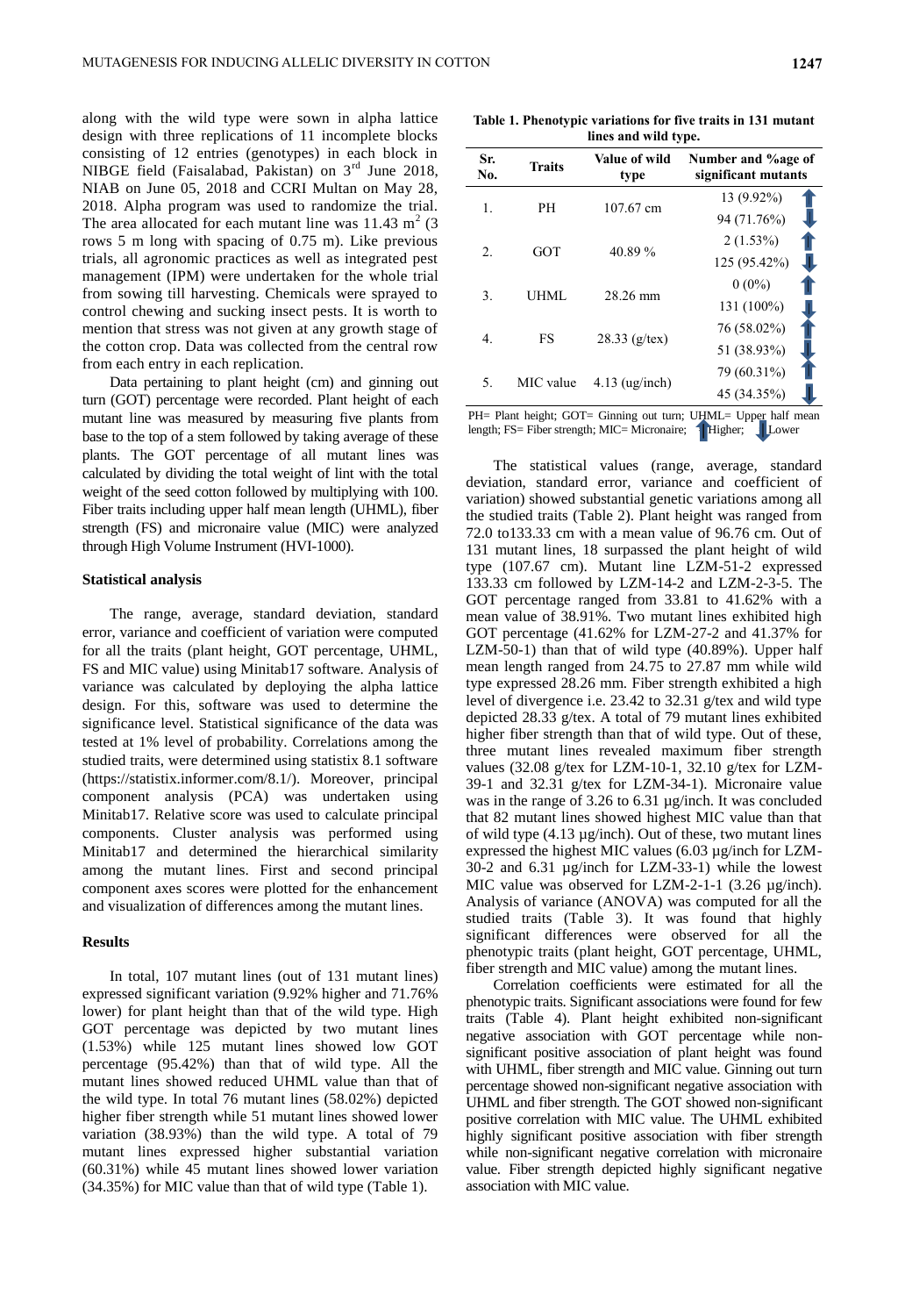along with the wild type were sown in alpha lattice design with three replications of 11 incomplete blocks consisting of 12 entries (genotypes) in each block in NIBGE field (Faisalabad, Pakistan) on  $3<sup>rd</sup>$  June 2018, NIAB on June 05, 2018 and CCRI Multan on May 28, 2018. Alpha program was used to randomize the trial. The area allocated for each mutant line was  $11.43 \text{ m}^2$  (3) rows 5 m long with spacing of 0.75 m). Like previous trials, all agronomic practices as well as integrated pest management (IPM) were undertaken for the whole trial from sowing till harvesting. Chemicals were sprayed to control chewing and sucking insect pests. It is worth to mention that stress was not given at any growth stage of the cotton crop. Data was collected from the central row from each entry in each replication.

Data pertaining to plant height (cm) and ginning out turn (GOT) percentage were recorded. Plant height of each mutant line was measured by measuring five plants from base to the top of a stem followed by taking average of these plants. The GOT percentage of all mutant lines was calculated by dividing the total weight of lint with the total weight of the seed cotton followed by multiplying with 100. Fiber traits including upper half mean length (UHML), fiber strength (FS) and micronaire value (MIC) were analyzed through High Volume Instrument (HVI-1000).

#### **Statistical analysis**

The range, average, standard deviation, standard error, variance and coefficient of variation were computed for all the traits (plant height, GOT percentage, UHML, FS and MIC value) using Minitab17 software. Analysis of variance was calculated by deploying the alpha lattice design. For this, software was used to determine the significance level. Statistical significance of the data was tested at 1% level of probability. Correlations among the studied traits, were determined using statistix 8.1 software (https://statistix.informer.com/8.1/). Moreover, principal component analysis (PCA) was undertaken using Minitab17. Relative score was used to calculate principal components. Cluster analysis was performed using Minitab17 and determined the hierarchical similarity among the mutant lines. First and second principal component axes scores were plotted for the enhancement and visualization of differences among the mutant lines.

## **Results**

In total, 107 mutant lines (out of 131 mutant lines) expressed significant variation (9.92% higher and 71.76% lower) for plant height than that of the wild type. High GOT percentage was depicted by two mutant lines (1.53%) while 125 mutant lines showed low GOT percentage (95.42%) than that of wild type. All the mutant lines showed reduced UHML value than that of the wild type. In total 76 mutant lines (58.02%) depicted higher fiber strength while 51 mutant lines showed lower variation (38.93%) than the wild type. A total of 79 mutant lines expressed higher substantial variation (60.31%) while 45 mutant lines showed lower variation (34.35%) for MIC value than that of wild type (Table 1).

**Table 1. Phenotypic variations for five traits in 131 mutant lines and wild type.**

| Sr.<br>No. | <b>Traits</b> | Value of wild<br>type | Number and %age of<br>significant mutants |
|------------|---------------|-----------------------|-------------------------------------------|
|            | PН            | 107.67 cm             | 13 (9.92%)                                |
| 1.         |               |                       | 94 (71.76%)                               |
| 2.         | <b>GOT</b>    | 40.89%                | $2(1.53\%)$                               |
|            |               |                       | 125 (95.42%)                              |
| 3.         | UHML          | 28.26 mm              | $0(0\%)$                                  |
|            |               |                       | 131 (100%)                                |
| 4.         | FS            | $28.33$ (g/tex)       | 76 (58.02%)                               |
|            |               |                       | 51 (38.93%)                               |
|            | MIC value     |                       | 79 (60.31%)                               |
| 5.         |               | $4.13$ (ug/inch)      | 45 (34.35%)                               |
|            |               |                       |                                           |

PH= Plant height; GOT= Ginning out turn; UHML= Upper half mean length; FS= Fiber strength; MIC= Micronaire;  $\begin{array}{c|c} \end{array}$  Higher; Lower

The statistical values (range, average, standard deviation, standard error, variance and coefficient of variation) showed substantial genetic variations among all the studied traits (Table 2). Plant height was ranged from 72.0 to133.33 cm with a mean value of 96.76 cm. Out of 131 mutant lines, 18 surpassed the plant height of wild type (107.67 cm). Mutant line LZM-51-2 expressed 133.33 cm followed by LZM-14-2 and LZM-2-3-5. The GOT percentage ranged from 33.81 to 41.62% with a mean value of 38.91%. Two mutant lines exhibited high GOT percentage (41.62% for LZM-27-2 and 41.37% for LZM-50-1) than that of wild type (40.89%). Upper half mean length ranged from 24.75 to 27.87 mm while wild type expressed 28.26 mm. Fiber strength exhibited a high level of divergence i.e. 23.42 to 32.31 g/tex and wild type depicted 28.33 g/tex. A total of 79 mutant lines exhibited higher fiber strength than that of wild type. Out of these, three mutant lines revealed maximum fiber strength values (32.08 g/tex for LZM-10-1, 32.10 g/tex for LZM-39-1 and 32.31 g/tex for LZM-34-1). Micronaire value was in the range of 3.26 to 6.31 µg/inch. It was concluded that 82 mutant lines showed highest MIC value than that of wild type (4.13 µg/inch). Out of these, two mutant lines expressed the highest MIC values (6.03 µg/inch for LZM-30-2 and 6.31 µg/inch for LZM-33-1) while the lowest MIC value was observed for LZM-2-1-1 (3.26 µg/inch). Analysis of variance (ANOVA) was computed for all the studied traits (Table 3). It was found that highly significant differences were observed for all the phenotypic traits (plant height, GOT percentage, UHML, fiber strength and MIC value) among the mutant lines.

Correlation coefficients were estimated for all the phenotypic traits. Significant associations were found for few traits (Table 4). Plant height exhibited non-significant negative association with GOT percentage while nonsignificant positive association of plant height was found with UHML, fiber strength and MIC value. Ginning out turn percentage showed non-significant negative association with UHML and fiber strength. The GOT showed non-significant positive correlation with MIC value. The UHML exhibited highly significant positive association with fiber strength while non-significant negative correlation with micronaire value. Fiber strength depicted highly significant negative association with MIC value.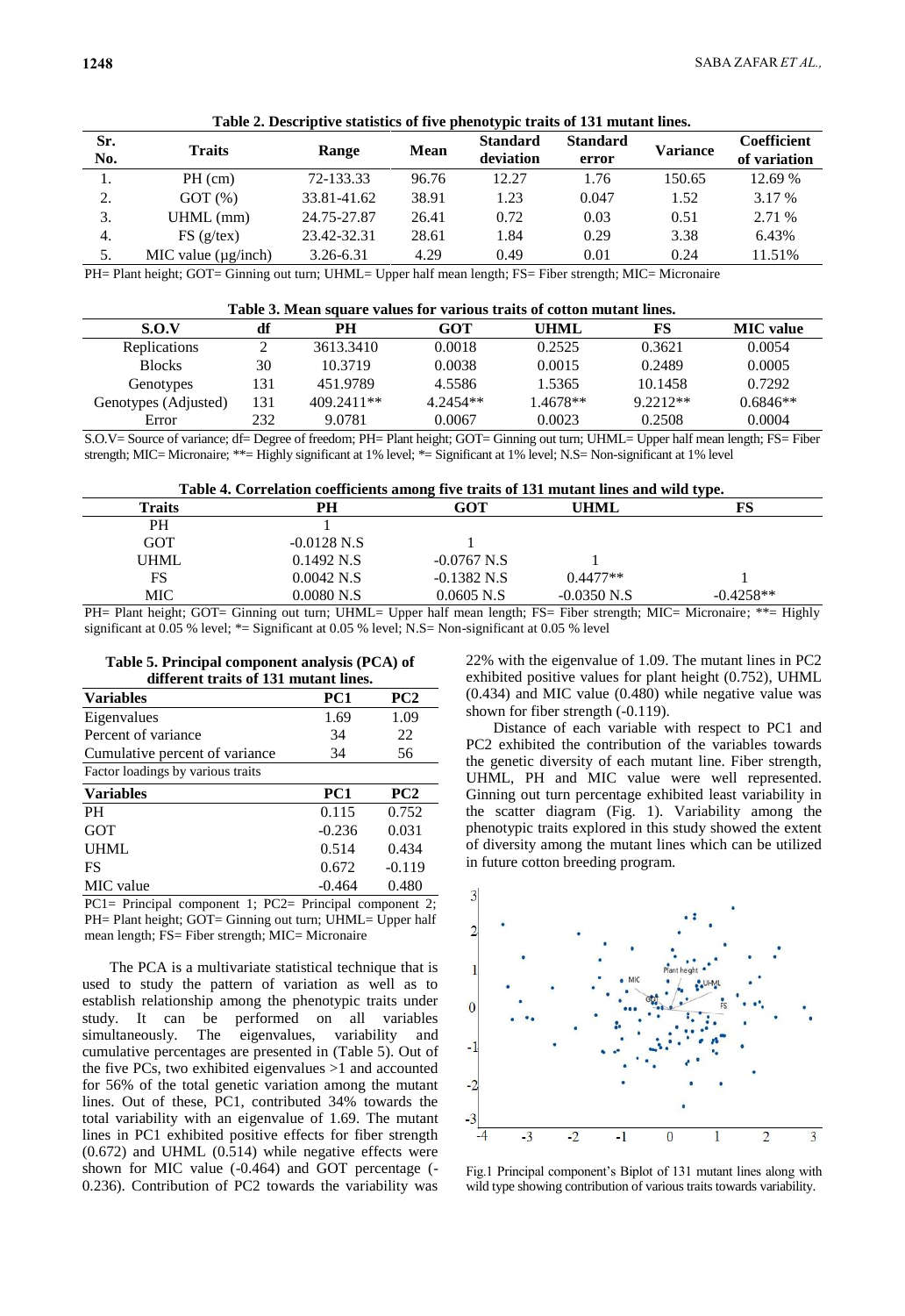|            |                             |             |             | $\sim$ $\sim$                |                          |                 |                                    |
|------------|-----------------------------|-------------|-------------|------------------------------|--------------------------|-----------------|------------------------------------|
| Sr.<br>No. | <b>Traits</b>               | Range       | <b>Mean</b> | <b>Standard</b><br>deviation | <b>Standard</b><br>error | <b>Variance</b> | <b>Coefficient</b><br>of variation |
|            | $PH$ (cm)                   | 72-133.33   | 96.76       | 12.27                        | 1.76                     | 150.65          | 12.69 %                            |
| 2.         | GOT(%)                      | 33.81-41.62 | 38.91       | 1.23                         | 0.047                    | 1.52            | 3.17 %                             |
| 3.         | $UHML$ (mm)                 | 24.75-27.87 | 26.41       | 0.72                         | 0.03                     | 0.51            | 2.71 %                             |
| 4.         | FS(g/text)                  | 23.42-32.31 | 28.61       | 1.84                         | 0.29                     | 3.38            | 6.43%                              |
| 5.         | $MIC$ value ( $\mu$ g/inch) | 3.26-6.31   | 4.29        | 0.49                         | 0.01                     | 0.24            | 11.51%                             |
|            |                             |             |             |                              |                          |                 |                                    |

**Table 2. Descriptive statistics of five phenotypic traits of 131 mutant lines.**

PH= Plant height; GOT= Ginning out turn; UHML= Upper half mean length; FS= Fiber strength; MIC= Micronaire

| Table 3. Mean square values for various traits of cotton mutant lines. |     |              |            |          |            |                  |  |  |  |  |
|------------------------------------------------------------------------|-----|--------------|------------|----------|------------|------------------|--|--|--|--|
| S.O.V                                                                  | df  | PН           | GOT        | UHML     | FS         | <b>MIC</b> value |  |  |  |  |
| Replications                                                           |     | 3613.3410    | 0.0018     | 0.2525   | 0.3621     | 0.0054           |  |  |  |  |
| <b>Blocks</b>                                                          | 30  | 10.3719      | 0.0038     | 0.0015   | 0.2489     | 0.0005           |  |  |  |  |
| Genotypes                                                              | 131 | 451.9789     | 4.5586     | 1.5365   | 10.1458    | 0.7292           |  |  |  |  |
| Genotypes (Adjusted)                                                   | 131 | $409.2411**$ | $4.2454**$ | 1.4678** | $9.2212**$ | $0.6846**$       |  |  |  |  |
| Error                                                                  | 232 | 9.0781       | 0.0067     | 0.0023   | 0.2508     | 0.0004           |  |  |  |  |

**Table 3. Mean square values for various traits of cotton mutant lines.**

S.O.V= Source of variance; df= Degree of freedom; PH= Plant height; GOT= Ginning out turn; UHML= Upper half mean length; FS= Fiber strength; MIC= Micronaire; \*\*= Highly significant at 1% level; \*= Significant at 1% level; N.S= Non-significant at 1% level

**Table 4. Correlation coefficients among five traits of 131 mutant lines and wild type.**

|                |               |                         |                                                                      | . .         |
|----------------|---------------|-------------------------|----------------------------------------------------------------------|-------------|
| <b>Traits</b>  | PH            | GOT                     | UHML                                                                 | FS          |
| PН             |               |                         |                                                                      |             |
| GOT            | $-0.0128$ N.S |                         |                                                                      |             |
| <b>UHML</b>    | 0.1492 N.S    | $-0.0767$ N.S           |                                                                      |             |
| FS             | $0.0042$ N.S  | $-0.1382$ N.S           | $0.4477**$                                                           |             |
| MIC-           | 0.0080 N.S    | $0.0605$ N.S            | $-0.0350$ N.S                                                        | $-0.4258**$ |
| $-1$<br>$\sim$ | $\rightarrow$ | $\sim$ $\sim$<br>$\sim$ | $\sim$ $\sim$ $\sim$ $\sim$ $\sim$ $\sim$ $\sim$<br>$\sim$<br>$\sim$ |             |

PH= Plant height; GOT= Ginning out turn; UHML= Upper half mean length; FS= Fiber strength; MIC= Micronaire; \*\*= Highly significant at 0.05 % level; \*= Significant at 0.05 % level; N.S= Non-significant at 0.05 % level

**Table 5. Principal component analysis (PCA) of different traits of 131 mutant lines.**

| <b>Variables</b>                  | PC1             | PC <sub>2</sub> |
|-----------------------------------|-----------------|-----------------|
| Eigenvalues                       | 1.69            | 1.09            |
| Percent of variance               | 34              | 22              |
| Cumulative percent of variance    | 34              | 56              |
| Factor loadings by various traits |                 |                 |
| <b>Variables</b>                  | PC <sub>1</sub> | PC <sub>2</sub> |
| <b>PH</b>                         | 0.115           | 0.752           |
| <b>GOT</b>                        | $-0.236$        | 0.031           |
| <b>UHML</b>                       | 0.514           | 0.434           |
| FS                                | 0.672           | $-0.119$        |
| MIC value                         | $-0.464$        | 0.480           |

PC1= Principal component 1; PC2= Principal component 2; PH= Plant height; GOT= Ginning out turn; UHML= Upper half mean length; FS= Fiber strength; MIC= Micronaire

The PCA is a multivariate statistical technique that is used to study the pattern of variation as well as to establish relationship among the phenotypic traits under study. It can be performed on all variables simultaneously. The eigenvalues, variability and cumulative percentages are presented in (Table 5). Out of the five PCs, two exhibited eigenvalues >1 and accounted for 56% of the total genetic variation among the mutant lines. Out of these, PC1, contributed 34% towards the total variability with an eigenvalue of 1.69. The mutant lines in PC1 exhibited positive effects for fiber strength  $(0.672)$  and UHML  $(0.514)$  while negative effects were shown for MIC value (-0.464) and GOT percentage (- 0.236). Contribution of PC2 towards the variability was

22% with the eigenvalue of 1.09. The mutant lines in PC2 exhibited positive values for plant height (0.752), UHML (0.434) and MIC value (0.480) while negative value was shown for fiber strength (-0.119).

Distance of each variable with respect to PC1 and PC2 exhibited the contribution of the variables towards the genetic diversity of each mutant line. Fiber strength, UHML, PH and MIC value were well represented. Ginning out turn percentage exhibited least variability in the scatter diagram (Fig. 1). Variability among the phenotypic traits explored in this study showed the extent of diversity among the mutant lines which can be utilized in future cotton breeding program.



Fig.1 Principal component"s Biplot of 131 mutant lines along with wild type showing contribution of various traits towards variability.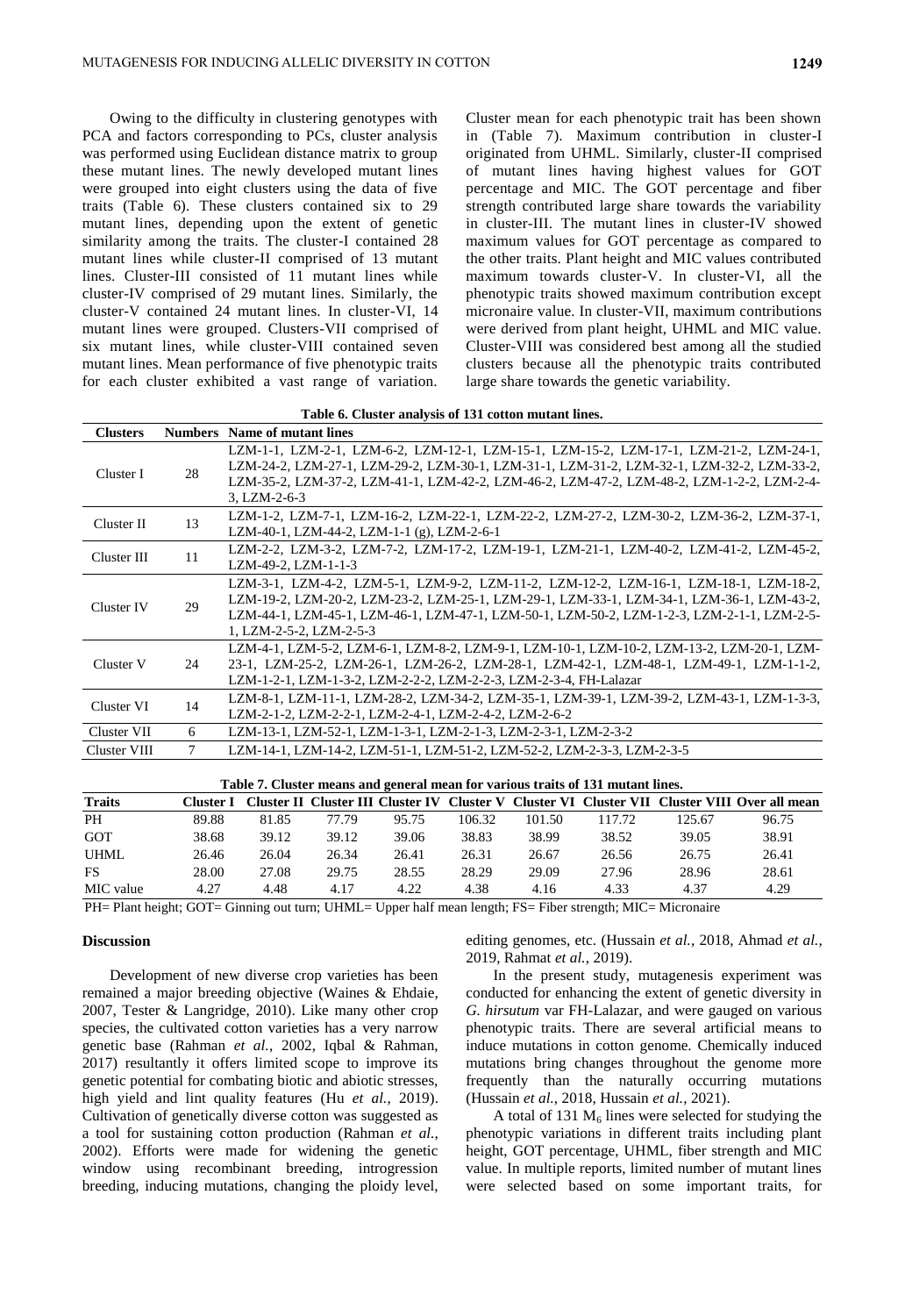Owing to the difficulty in clustering genotypes with PCA and factors corresponding to PCs, cluster analysis was performed using Euclidean distance matrix to group these mutant lines. The newly developed mutant lines were grouped into eight clusters using the data of five traits (Table 6). These clusters contained six to 29 mutant lines, depending upon the extent of genetic similarity among the traits. The cluster-I contained 28 mutant lines while cluster-II comprised of 13 mutant lines. Cluster-III consisted of 11 mutant lines while cluster-IV comprised of 29 mutant lines. Similarly, the cluster-V contained 24 mutant lines. In cluster-VI, 14 mutant lines were grouped. Clusters-VII comprised of six mutant lines, while cluster-VIII contained seven mutant lines. Mean performance of five phenotypic traits for each cluster exhibited a vast range of variation.

Cluster mean for each phenotypic trait has been shown in (Table 7). Maximum contribution in cluster-I originated from UHML. Similarly, cluster-II comprised of mutant lines having highest values for GOT percentage and MIC. The GOT percentage and fiber strength contributed large share towards the variability in cluster-III. The mutant lines in cluster-IV showed maximum values for GOT percentage as compared to the other traits. Plant height and MIC values contributed maximum towards cluster-V. In cluster-VI, all the phenotypic traits showed maximum contribution except micronaire value. In cluster-VII, maximum contributions were derived from plant height, UHML and MIC value. Cluster-VIII was considered best among all the studied clusters because all the phenotypic traits contributed large share towards the genetic variability.

| <b>Clusters</b> |    | <b>Numbers</b> Name of mutant lines                                                                                                                                                                                                                                                                         |
|-----------------|----|-------------------------------------------------------------------------------------------------------------------------------------------------------------------------------------------------------------------------------------------------------------------------------------------------------------|
| Cluster I       | 28 | LZM-1-1, LZM-2-1, LZM-6-2, LZM-12-1, LZM-15-1, LZM-15-2, LZM-17-1, LZM-21-2, LZM-24-1,<br>LZM-24-2, LZM-27-1, LZM-29-2, LZM-30-1, LZM-31-1, LZM-31-2, LZM-32-1, LZM-32-2, LZM-33-2,<br>LZM-35-2, LZM-37-2, LZM-41-1, LZM-42-2, LZM-46-2, LZM-47-2, LZM-48-2, LZM-1-2-2, LZM-2-4-<br>$3. LZM-2-6-3$          |
| Cluster II      | 13 | LZM-1-2, LZM-7-1, LZM-16-2, LZM-22-1, LZM-22-2, LZM-27-2, LZM-30-2, LZM-36-2, LZM-37-1,<br>LZM-40-1, LZM-44-2, LZM-1-1 (g), LZM-2-6-1                                                                                                                                                                       |
| Cluster III     | 11 | LZM-2-2, LZM-3-2, LZM-7-2, LZM-17-2, LZM-19-1, LZM-21-1, LZM-40-2, LZM-41-2, LZM-45-2,<br>LZM-49-2, LZM-1-1-3                                                                                                                                                                                               |
| Cluster IV      | 29 | LZM-3-1, LZM-4-2, LZM-5-1, LZM-9-2, LZM-11-2, LZM-12-2, LZM-16-1, LZM-18-1, LZM-18-2,<br>LZM-19-2, LZM-20-2, LZM-23-2, LZM-25-1, LZM-29-1, LZM-33-1, LZM-34-1, LZM-36-1, LZM-43-2,<br>LZM-44-1, LZM-45-1, LZM-46-1, LZM-47-1, LZM-50-1, LZM-50-2, LZM-1-2-3, LZM-2-1-1, LZM-2-5-<br>1, LZM-2-5-2, LZM-2-5-3 |
| Cluster V       | 24 | LZM-4-1, LZM-5-2, LZM-6-1, LZM-8-2, LZM-9-1, LZM-10-1, LZM-10-2, LZM-13-2, LZM-20-1, LZM-<br>23-1, LZM-25-2, LZM-26-1, LZM-26-2, LZM-28-1, LZM-42-1, LZM-48-1, LZM-49-1, LZM-1-1-2,<br>LZM-1-2-1, LZM-1-3-2, LZM-2-2-2, LZM-2-2-3, LZM-2-3-4, FH-Lalazar                                                    |
| Cluster VI      | 14 | LZM-8-1, LZM-11-1, LZM-28-2, LZM-34-2, LZM-35-1, LZM-39-1, LZM-39-2, LZM-43-1, LZM-1-3-3,<br>LZM-2-1-2, LZM-2-2-1, LZM-2-4-1, LZM-2-4-2, LZM-2-6-2                                                                                                                                                          |
| Cluster VII     | 6  | LZM-13-1, LZM-52-1, LZM-1-3-1, LZM-2-1-3, LZM-2-3-1, LZM-2-3-2                                                                                                                                                                                                                                              |
| Cluster VIII    |    | LZM-14-1, LZM-14-2, LZM-51-1, LZM-51-2, LZM-52-2, LZM-2-3-3, LZM-2-3-5                                                                                                                                                                                                                                      |

**Table 6. Cluster analysis of 131 cotton mutant lines.**

|  |  |  |  |  | Table 7. Cluster means and general mean for various traits of 131 mutant lines. |  |
|--|--|--|--|--|---------------------------------------------------------------------------------|--|
|  |  |  |  |  |                                                                                 |  |

| <b>Traits</b>                                                                                                                                                                                                                                                                                    | Cluster I |       |       |       |        |        |        |        | Cluster II Cluster III Cluster IV Cluster V Cluster VI Cluster VII Cluster VIII Over all mean |
|--------------------------------------------------------------------------------------------------------------------------------------------------------------------------------------------------------------------------------------------------------------------------------------------------|-----------|-------|-------|-------|--------|--------|--------|--------|-----------------------------------------------------------------------------------------------|
| <b>PH</b>                                                                                                                                                                                                                                                                                        | 89.88     | 81.85 | 77.79 | 95.75 | 106.32 | 101.50 | 117.72 | 125.67 | 96.75                                                                                         |
| GOT                                                                                                                                                                                                                                                                                              | 38.68     | 39.12 | 39.12 | 39.06 | 38.83  | 38.99  | 38.52  | 39.05  | 38.91                                                                                         |
| <b>UHML</b>                                                                                                                                                                                                                                                                                      | 26.46     | 26.04 | 26.34 | 26.41 | 26.31  | 26.67  | 26.56  | 26.75  | 26.41                                                                                         |
| FS                                                                                                                                                                                                                                                                                               | 28.00     | 27.08 | 29.75 | 28.55 | 28.29  | 29.09  | 27.96  | 28.96  | 28.61                                                                                         |
| MIC value                                                                                                                                                                                                                                                                                        | 4.27      | 4.48  | 4.17  | 4.22  | 4.38   | 4.16   | 4.33   | 4.37   | 4.29                                                                                          |
| $\mathbf{H}$ and $\mathbf{H}$ and $\mathbf{H}$ and $\mathbf{H}$ and $\mathbf{H}$ and $\mathbf{H}$ and $\mathbf{H}$ and $\mathbf{H}$ and $\mathbf{H}$ and $\mathbf{H}$ and $\mathbf{H}$ and $\mathbf{H}$ and $\mathbf{H}$ and $\mathbf{H}$ and $\mathbf{H}$ and $\mathbf{H}$ and $\mathbf{H}$ and |           |       |       |       |        |        |        |        |                                                                                               |

PH= Plant height; GOT= Ginning out turn; UHML= Upper half mean length; FS= Fiber strength; MIC= Micronaire

#### **Discussion**

Development of new diverse crop varieties has been remained a major breeding objective (Waines & Ehdaie, 2007, Tester & Langridge, 2010). Like many other crop species, the cultivated cotton varieties has a very narrow genetic base (Rahman *et al.*, 2002, Iqbal & Rahman, 2017) resultantly it offers limited scope to improve its genetic potential for combating biotic and abiotic stresses, high yield and lint quality features (Hu *et al.*, 2019). Cultivation of genetically diverse cotton was suggested as a tool for sustaining cotton production (Rahman *et al.*, 2002). Efforts were made for widening the genetic window using recombinant breeding, introgression breeding, inducing mutations, changing the ploidy level, editing genomes, etc. (Hussain *et al.*, 2018, Ahmad *et al.*, 2019, Rahmat *et al.*, 2019).

In the present study, mutagenesis experiment was conducted for enhancing the extent of genetic diversity in *G. hirsutum* var FH-Lalazar, and were gauged on various phenotypic traits. There are several artificial means to induce mutations in cotton genome. Chemically induced mutations bring changes throughout the genome more frequently than the naturally occurring mutations (Hussain *et al.*, 2018, Hussain *et al.*, 2021).

A total of 131  $M_6$  lines were selected for studying the phenotypic variations in different traits including plant height, GOT percentage, UHML, fiber strength and MIC value. In multiple reports, limited number of mutant lines were selected based on some important traits, for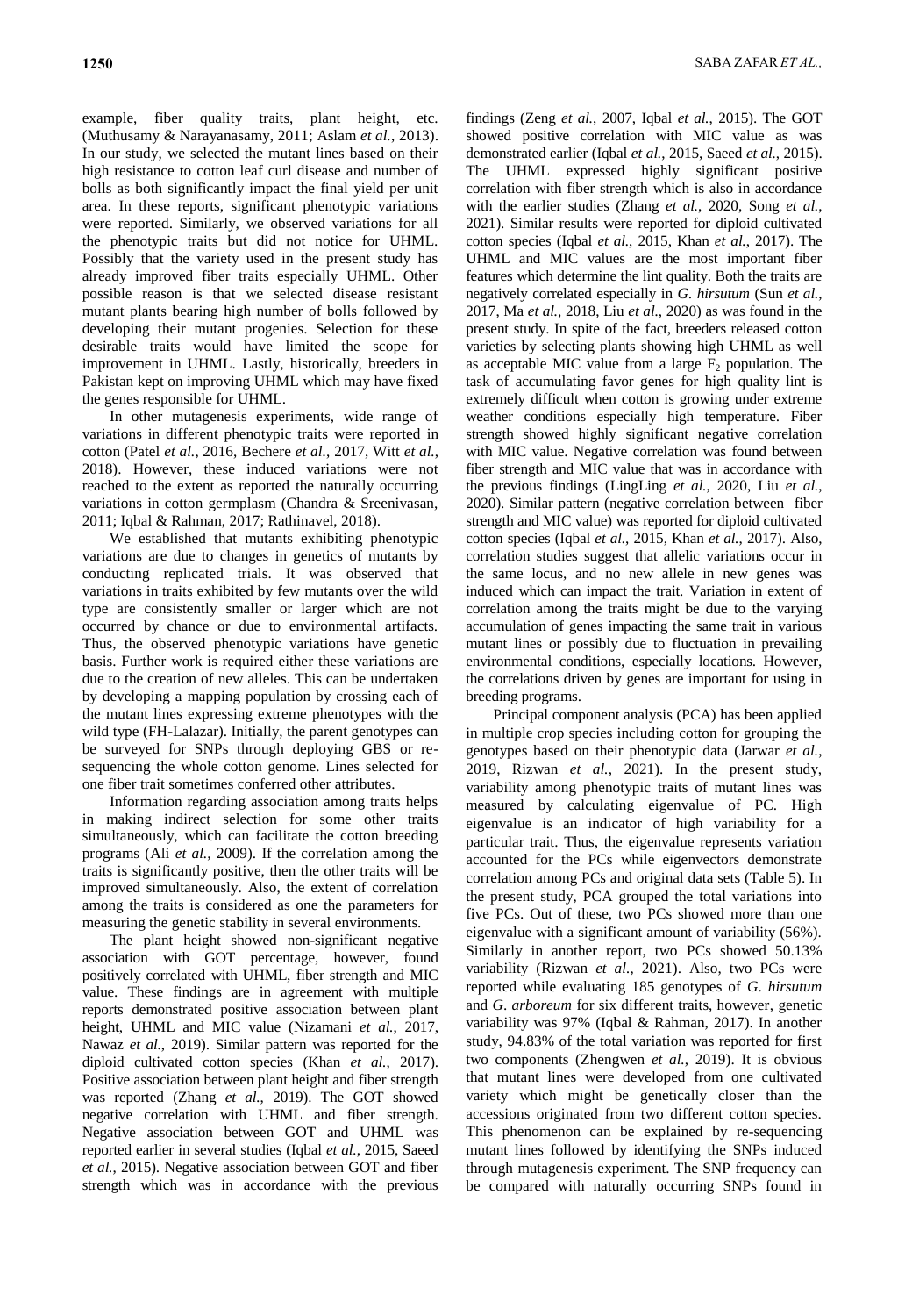example, fiber quality traits, plant height, etc. (Muthusamy & Narayanasamy, 2011; Aslam *et al.*, 2013). In our study, we selected the mutant lines based on their high resistance to cotton leaf curl disease and number of bolls as both significantly impact the final yield per unit area. In these reports, significant phenotypic variations were reported. Similarly, we observed variations for all the phenotypic traits but did not notice for UHML. Possibly that the variety used in the present study has already improved fiber traits especially UHML. Other possible reason is that we selected disease resistant mutant plants bearing high number of bolls followed by developing their mutant progenies. Selection for these desirable traits would have limited the scope for improvement in UHML. Lastly, historically, breeders in Pakistan kept on improving UHML which may have fixed the genes responsible for UHML.

In other mutagenesis experiments, wide range of variations in different phenotypic traits were reported in cotton (Patel *et al.*, 2016, Bechere *et al.*, 2017, Witt *et al.*, 2018). However, these induced variations were not reached to the extent as reported the naturally occurring variations in cotton germplasm (Chandra & Sreenivasan, 2011; Iqbal & Rahman, 2017; Rathinavel, 2018).

We established that mutants exhibiting phenotypic variations are due to changes in genetics of mutants by conducting replicated trials. It was observed that variations in traits exhibited by few mutants over the wild type are consistently smaller or larger which are not occurred by chance or due to environmental artifacts. Thus, the observed phenotypic variations have genetic basis. Further work is required either these variations are due to the creation of new alleles. This can be undertaken by developing a mapping population by crossing each of the mutant lines expressing extreme phenotypes with the wild type (FH-Lalazar). Initially, the parent genotypes can be surveyed for SNPs through deploying GBS or resequencing the whole cotton genome. Lines selected for one fiber trait sometimes conferred other attributes.

Information regarding association among traits helps in making indirect selection for some other traits simultaneously, which can facilitate the cotton breeding programs (Ali *et al.*, 2009). If the correlation among the traits is significantly positive, then the other traits will be improved simultaneously. Also, the extent of correlation among the traits is considered as one the parameters for measuring the genetic stability in several environments.

The plant height showed non-significant negative association with GOT percentage, however, found positively correlated with UHML, fiber strength and MIC value. These findings are in agreement with multiple reports demonstrated positive association between plant height, UHML and MIC value (Nizamani *et al.*, 2017, Nawaz *et al.*, 2019). Similar pattern was reported for the diploid cultivated cotton species (Khan *et al.*, 2017). Positive association between plant height and fiber strength was reported (Zhang *et al.*, 2019). The GOT showed negative correlation with UHML and fiber strength. Negative association between GOT and UHML was reported earlier in several studies (Iqbal *et al.*, 2015, Saeed *et al.*, 2015). Negative association between GOT and fiber strength which was in accordance with the previous findings (Zeng *et al.*, 2007, Iqbal *et al.*, 2015). The GOT showed positive correlation with MIC value as was demonstrated earlier (Iqbal *et al.*, 2015, Saeed *et al.*, 2015). The UHML expressed highly significant positive correlation with fiber strength which is also in accordance with the earlier studies (Zhang *et al.*, 2020, Song *et al.*, 2021). Similar results were reported for diploid cultivated cotton species (Iqbal *et al.*, 2015, Khan *et al.*, 2017). The UHML and MIC values are the most important fiber features which determine the lint quality. Both the traits are negatively correlated especially in *G*. *hirsutum* (Sun *et al.*, 2017, Ma *et al.*, 2018, Liu *et al.*, 2020) as was found in the present study. In spite of the fact, breeders released cotton varieties by selecting plants showing high UHML as well as acceptable MIC value from a large  $F<sub>2</sub>$  population. The task of accumulating favor genes for high quality lint is extremely difficult when cotton is growing under extreme weather conditions especially high temperature. Fiber strength showed highly significant negative correlation with MIC value. Negative correlation was found between fiber strength and MIC value that was in accordance with the previous findings (LingLing *et al.*, 2020, Liu *et al.*, 2020). Similar pattern (negative correlation between fiber strength and MIC value) was reported for diploid cultivated cotton species (Iqbal *et al.*, 2015, Khan *et al.*, 2017). Also, correlation studies suggest that allelic variations occur in the same locus, and no new allele in new genes was induced which can impact the trait. Variation in extent of correlation among the traits might be due to the varying accumulation of genes impacting the same trait in various mutant lines or possibly due to fluctuation in prevailing environmental conditions, especially locations. However, the correlations driven by genes are important for using in breeding programs.

Principal component analysis (PCA) has been applied in multiple crop species including cotton for grouping the genotypes based on their phenotypic data (Jarwar *et al.*, 2019, Rizwan *et al.*, 2021). In the present study, variability among phenotypic traits of mutant lines was measured by calculating eigenvalue of PC. High eigenvalue is an indicator of high variability for a particular trait. Thus, the eigenvalue represents variation accounted for the PCs while eigenvectors demonstrate correlation among PCs and original data sets (Table 5). In the present study, PCA grouped the total variations into five PCs. Out of these, two PCs showed more than one eigenvalue with a significant amount of variability (56%). Similarly in another report, two PCs showed 50.13% variability (Rizwan *et al.*, 2021). Also, two PCs were reported while evaluating 185 genotypes of *G*. *hirsutum* and *G*. *arboreum* for six different traits, however, genetic variability was 97% (Iqbal & Rahman, 2017). In another study, 94.83% of the total variation was reported for first two components (Zhengwen *et al.*, 2019). It is obvious that mutant lines were developed from one cultivated variety which might be genetically closer than the accessions originated from two different cotton species. This phenomenon can be explained by re-sequencing mutant lines followed by identifying the SNPs induced through mutagenesis experiment. The SNP frequency can be compared with naturally occurring SNPs found in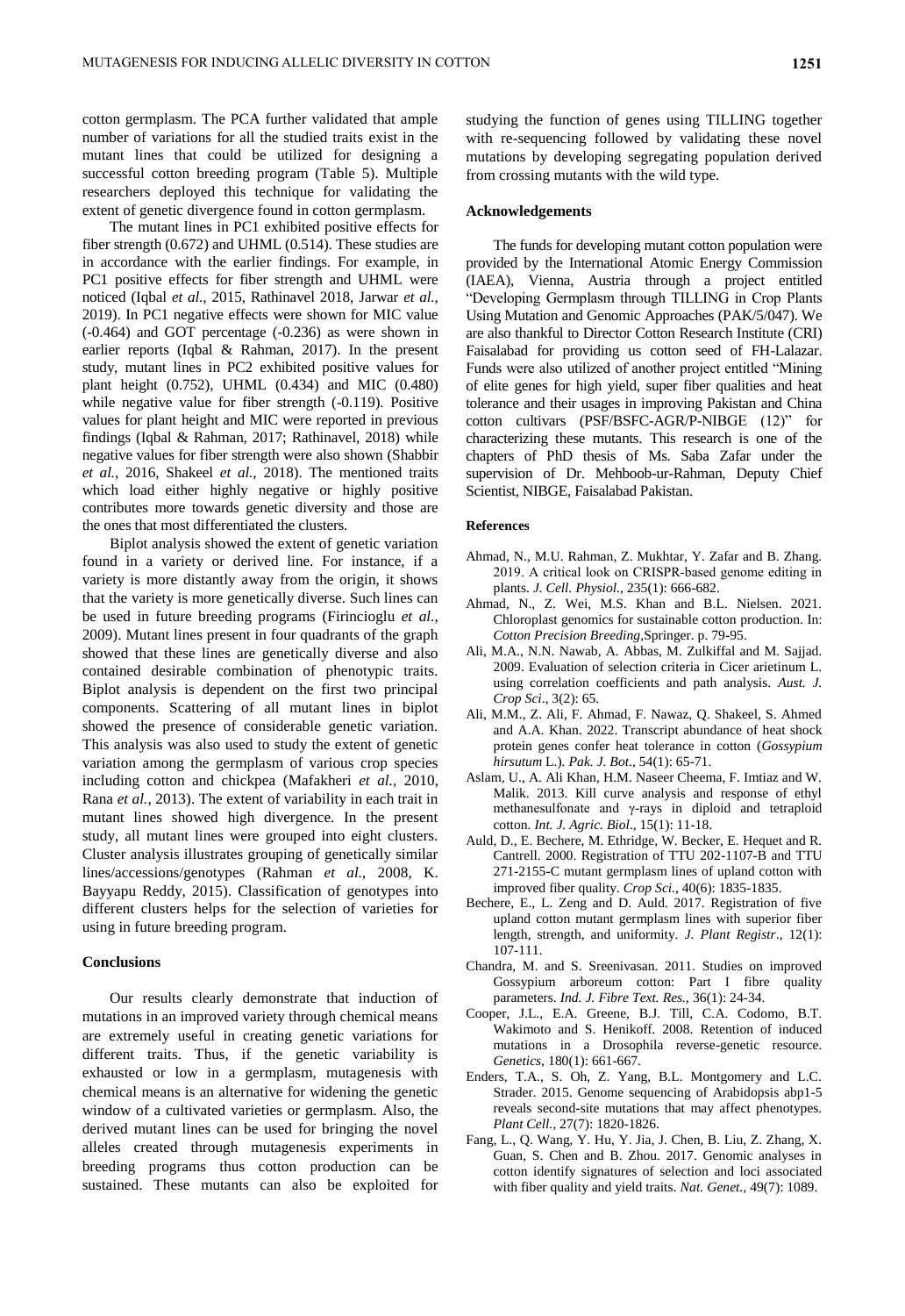cotton germplasm. The PCA further validated that ample number of variations for all the studied traits exist in the mutant lines that could be utilized for designing a successful cotton breeding program (Table 5). Multiple researchers deployed this technique for validating the extent of genetic divergence found in cotton germplasm.

The mutant lines in PC1 exhibited positive effects for fiber strength (0.672) and UHML (0.514). These studies are in accordance with the earlier findings. For example, in PC1 positive effects for fiber strength and UHML were noticed (Iqbal *et al.*, 2015, Rathinavel 2018, Jarwar *et al.*, 2019). In PC1 negative effects were shown for MIC value (-0.464) and GOT percentage (-0.236) as were shown in earlier reports (Iqbal & Rahman, 2017). In the present study, mutant lines in PC2 exhibited positive values for plant height (0.752), UHML (0.434) and MIC (0.480) while negative value for fiber strength (-0.119). Positive values for plant height and MIC were reported in previous findings (Iqbal & Rahman, 2017; Rathinavel, 2018) while negative values for fiber strength were also shown (Shabbir *et al.*, 2016, Shakeel *et al.*, 2018). The mentioned traits which load either highly negative or highly positive contributes more towards genetic diversity and those are the ones that most differentiated the clusters.

Biplot analysis showed the extent of genetic variation found in a variety or derived line. For instance, if a variety is more distantly away from the origin, it shows that the variety is more genetically diverse. Such lines can be used in future breeding programs (Firincioglu *et al.*, 2009). Mutant lines present in four quadrants of the graph showed that these lines are genetically diverse and also contained desirable combination of phenotypic traits. Biplot analysis is dependent on the first two principal components. Scattering of all mutant lines in biplot showed the presence of considerable genetic variation. This analysis was also used to study the extent of genetic variation among the germplasm of various crop species including cotton and chickpea (Mafakheri *et al.*, 2010, Rana *et al.*, 2013). The extent of variability in each trait in mutant lines showed high divergence. In the present study, all mutant lines were grouped into eight clusters. Cluster analysis illustrates grouping of genetically similar lines/accessions/genotypes (Rahman *et al.*, 2008, K. Bayyapu Reddy, 2015). Classification of genotypes into different clusters helps for the selection of varieties for using in future breeding program.

# **Conclusions**

Our results clearly demonstrate that induction of mutations in an improved variety through chemical means are extremely useful in creating genetic variations for different traits. Thus, if the genetic variability is exhausted or low in a germplasm, mutagenesis with chemical means is an alternative for widening the genetic window of a cultivated varieties or germplasm. Also, the derived mutant lines can be used for bringing the novel alleles created through mutagenesis experiments in breeding programs thus cotton production can be sustained. These mutants can also be exploited for

studying the function of genes using TILLING together with re-sequencing followed by validating these novel mutations by developing segregating population derived from crossing mutants with the wild type.

#### **Acknowledgements**

The funds for developing mutant cotton population were provided by the International Atomic Energy Commission (IAEA), Vienna, Austria through a project entitled "Developing Germplasm through TILLING in Crop Plants Using Mutation and Genomic Approaches (PAK/5/047). We are also thankful to Director Cotton Research Institute (CRI) Faisalabad for providing us cotton seed of FH-Lalazar. Funds were also utilized of another project entitled "Mining of elite genes for high yield, super fiber qualities and heat tolerance and their usages in improving Pakistan and China cotton cultivars (PSF/BSFC-AGR/P-NIBGE (12)" for characterizing these mutants. This research is one of the chapters of PhD thesis of Ms. Saba Zafar under the supervision of Dr. Mehboob-ur-Rahman, Deputy Chief Scientist, NIBGE, Faisalabad Pakistan.

#### **References**

- Ahmad, N., M.U. Rahman, Z. Mukhtar, Y. Zafar and B. Zhang. 2019. A critical look on CRISPR‐based genome editing in plants. *J. Cell. Physiol.,* 235(1): 666-682.
- Ahmad, N., Z. Wei, M.S. Khan and B.L. Nielsen. 2021. Chloroplast genomics for sustainable cotton production. In: *Cotton Precision Breeding*,Springer. p. 79-95.
- Ali, M.A., N.N. Nawab, A. Abbas, M. Zulkiffal and M. Sajjad. 2009. Evaluation of selection criteria in Cicer arietinum L. using correlation coefficients and path analysis. *Aust. J. Crop Sci*., 3(2): 65.
- Ali, M.M., Z. Ali, F. Ahmad, F. Nawaz, Q. Shakeel, S. Ahmed and A.A. Khan. 2022. Transcript abundance of heat shock protein genes confer heat tolerance in cotton (*Gossypium hirsutum* L.). *Pak. J. Bot*., 54(1): 65-71.
- Aslam, U., A. Ali Khan, H.M. Naseer Cheema, F. Imtiaz and W. Malik. 2013. Kill curve analysis and response of ethyl methanesulfonate and γ-rays in diploid and tetraploid cotton. *Int. J. Agric. Biol*., 15(1): 11-18.
- Auld, D., E. Bechere, M. Ethridge, W. Becker, E. Hequet and R. Cantrell. 2000. Registration of TTU 202-1107-B and TTU 271-2155-C mutant germplasm lines of upland cotton with improved fiber quality. *Crop Sci.*, 40(6): 1835-1835.
- Bechere, E., L. Zeng and D. Auld. 2017. Registration of five upland cotton mutant germplasm lines with superior fiber length, strength, and uniformity. *J. Plant Registr*., 12(1): 107-111.
- Chandra, M. and S. Sreenivasan. 2011. Studies on improved Gossypium arboreum cotton: Part I fibre quality parameters. *Ind. J. Fibre Text. Res.,* 36(1): 24-34.
- Cooper, J.L., E.A. Greene, B.J. Till, C.A. Codomo, B.T. Wakimoto and S. Henikoff. 2008. Retention of induced mutations in a Drosophila reverse-genetic resource. *Genetics,* 180(1): 661-667.
- Enders, T.A., S. Oh, Z. Yang, B.L. Montgomery and L.C. Strader. 2015. Genome sequencing of Arabidopsis abp1-5 reveals second-site mutations that may affect phenotypes. *Plant Cell.*, 27(7): 1820-1826.
- Fang, L., Q. Wang, Y. Hu, Y. Jia, J. Chen, B. Liu, Z. Zhang, X. Guan, S. Chen and B. Zhou. 2017. Genomic analyses in cotton identify signatures of selection and loci associated with fiber quality and yield traits. *Nat. Genet.,* 49(7): 1089.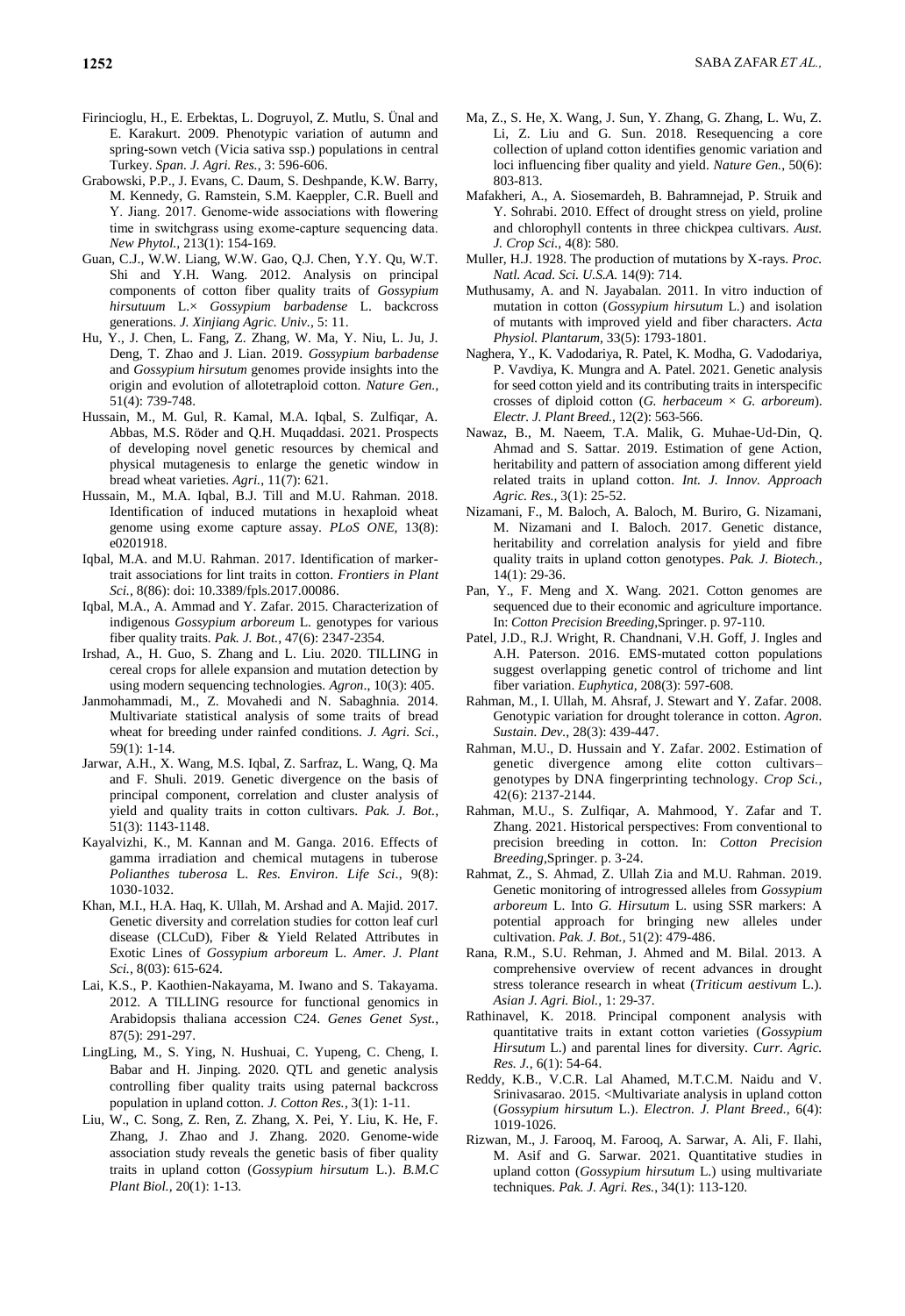- Firincioglu, H., E. Erbektas, L. Dogruyol, Z. Mutlu, S. Ünal and E. Karakurt. 2009. Phenotypic variation of autumn and spring-sown vetch (Vicia sativa ssp.) populations in central Turkey. *Span. J. Agri. Res.*, 3: 596-606.
- Grabowski, P.P., J. Evans, C. Daum, S. Deshpande, K.W. Barry, M. Kennedy, G. Ramstein, S.M. Kaeppler, C.R. Buell and Y. Jiang. 2017. Genome-wide associations with flowering time in switchgrass using exome‐capture sequencing data. *New Phytol.,* 213(1): 154-169.
- Guan, C.J., W.W. Liang, W.W. Gao, Q.J. Chen, Y.Y. Qu, W.T. Shi and Y.H. Wang. 2012. Analysis on principal components of cotton fiber quality traits of *Gossypium hirsutuum* L.× *Gossypium barbadense* L. backcross generations. *J. Xinjiang Agric. Univ.,* 5: 11.
- Hu, Y., J. Chen, L. Fang, Z. Zhang, W. Ma, Y. Niu, L. Ju, J. Deng, T. Zhao and J. Lian. 2019. *Gossypium barbadense* and *Gossypium hirsutum* genomes provide insights into the origin and evolution of allotetraploid cotton. *Nature Gen.,* 51(4): 739-748.
- Hussain, M., M. Gul, R. Kamal, M.A. Iqbal, S. Zulfiqar, A. Abbas, M.S. Röder and Q.H. Muqaddasi. 2021. Prospects of developing novel genetic resources by chemical and physical mutagenesis to enlarge the genetic window in bread wheat varieties. *Agri.*, 11(7): 621.
- Hussain, M., M.A. Iqbal, B.J. Till and M.U. Rahman. 2018. Identification of induced mutations in hexaploid wheat genome using exome capture assay. *PLoS ONE,* 13(8): e0201918.
- Iqbal, M.A. and M.U. Rahman. 2017. Identification of markertrait associations for lint traits in cotton. *Frontiers in Plant Sci.,* 8(86): doi: 10.3389/fpls.2017.00086.
- Iqbal, M.A., A. Ammad and Y. Zafar. 2015. Characterization of indigenous *Gossypium arboreum* L. genotypes for various fiber quality traits. *Pak. J. Bot.*, 47(6): 2347-2354.
- Irshad, A., H. Guo, S. Zhang and L. Liu. 2020. TILLING in cereal crops for allele expansion and mutation detection by using modern sequencing technologies. *Agron*., 10(3): 405.
- Janmohammadi, M., Z. Movahedi and N. Sabaghnia. 2014. Multivariate statistical analysis of some traits of bread wheat for breeding under rainfed conditions. *J. Agri. Sci.*, 59(1): 1-14.
- Jarwar, A.H., X. Wang, M.S. Iqbal, Z. Sarfraz, L. Wang, Q. Ma and F. Shuli. 2019. Genetic divergence on the basis of principal component, correlation and cluster analysis of yield and quality traits in cotton cultivars. *Pak. J. Bot.*, 51(3): 1143-1148.
- Kayalvizhi, K., M. Kannan and M. Ganga. 2016. Effects of gamma irradiation and chemical mutagens in tuberose *Polianthes tuberosa* L. *Res. Environ. Life Sci*., 9(8): 1030-1032.
- Khan, M.I., H.A. Haq, K. Ullah, M. Arshad and A. Majid. 2017. Genetic diversity and correlation studies for cotton leaf curl disease (CLCuD), Fiber & Yield Related Attributes in Exotic Lines of *Gossypium arboreum* L. *Amer. J. Plant Sci.,* 8(03): 615-624.
- Lai, K.S., P. Kaothien-Nakayama, M. Iwano and S. Takayama. 2012. A TILLING resource for functional genomics in Arabidopsis thaliana accession C24. *Genes Genet Syst.*, 87(5): 291-297.
- LingLing, M., S. Ying, N. Hushuai, C. Yupeng, C. Cheng, I. Babar and H. Jinping. 2020. QTL and genetic analysis controlling fiber quality traits using paternal backcross population in upland cotton. *J. Cotton Res.*, 3(1): 1-11.
- Liu, W., C. Song, Z. Ren, Z. Zhang, X. Pei, Y. Liu, K. He, F. Zhang, J. Zhao and J. Zhang. 2020. Genome-wide association study reveals the genetic basis of fiber quality traits in upland cotton (*Gossypium hirsutum* L.). *B.M.C Plant Biol.*, 20(1): 1-13.
- Ma, Z., S. He, X. Wang, J. Sun, Y. Zhang, G. Zhang, L. Wu, Z. Li, Z. Liu and G. Sun. 2018. Resequencing a core collection of upland cotton identifies genomic variation and loci influencing fiber quality and yield. *Nature Gen.,* 50(6): 803-813.
- Mafakheri, A., A. Siosemardeh, B. Bahramnejad, P. Struik and Y. Sohrabi. 2010. Effect of drought stress on yield, proline and chlorophyll contents in three chickpea cultivars. *Aust. J. Crop Sci.,* 4(8): 580.
- Muller, H.J. 1928. The production of mutations by X-rays. *Proc. Natl. Acad. Sci. U.S.A.* 14(9): 714.
- Muthusamy, A. and N. Jayabalan. 2011. In vitro induction of mutation in cotton (*Gossypium hirsutum* L.) and isolation of mutants with improved yield and fiber characters. *Acta Physiol. Plantarum,* 33(5): 1793-1801.
- Naghera, Y., K. Vadodariya, R. Patel, K. Modha, G. Vadodariya, P. Vavdiya, K. Mungra and A. Patel. 2021. Genetic analysis for seed cotton yield and its contributing traits in interspecific crosses of diploid cotton (*G. herbaceum* × *G. arboreum*). *Electr. J. Plant Breed.*, 12(2): 563-566.
- Nawaz, B., M. Naeem, T.A. Malik, G. Muhae-Ud-Din, Q. Ahmad and S. Sattar. 2019. Estimation of gene Action, heritability and pattern of association among different yield related traits in upland cotton. *Int. J. Innov. Approach Agric. Res.,* 3(1): 25-52.
- Nizamani, F., M. Baloch, A. Baloch, M. Buriro, G. Nizamani, M. Nizamani and I. Baloch. 2017. Genetic distance, heritability and correlation analysis for yield and fibre quality traits in upland cotton genotypes. *Pak. J. Biotech.*, 14(1): 29-36.
- Pan, Y., F. Meng and X. Wang. 2021. Cotton genomes are sequenced due to their economic and agriculture importance. In: *Cotton Precision Breeding*,Springer. p. 97-110.
- Patel, J.D., R.J. Wright, R. Chandnani, V.H. Goff, J. Ingles and A.H. Paterson. 2016. EMS-mutated cotton populations suggest overlapping genetic control of trichome and lint fiber variation. *Euphytica,* 208(3): 597-608.
- Rahman, M., I. Ullah, M. Ahsraf, J. Stewart and Y. Zafar. 2008. Genotypic variation for drought tolerance in cotton. *Agron. Sustain. Dev.,* 28(3): 439-447.
- Rahman, M.U., D. Hussain and Y. Zafar. 2002. Estimation of genetic divergence among elite cotton cultivars– genotypes by DNA fingerprinting technology. *Crop Sci.,*  42(6): 2137-2144.
- Rahman, M.U., S. Zulfiqar, A. Mahmood, Y. Zafar and T. Zhang. 2021. Historical perspectives: From conventional to precision breeding in cotton. In: *Cotton Precision Breeding*,Springer. p. 3-24.
- Rahmat, Z., S. Ahmad, Z. Ullah Zia and M.U. Rahman. 2019. Genetic monitoring of introgressed alleles from *Gossypium arboreum* L. Into *G. Hirsutum* L. using SSR markers: A potential approach for bringing new alleles under cultivation. *Pak. J. Bot.,* 51(2): 479-486.
- Rana, R.M., S.U. Rehman, J. Ahmed and M. Bilal. 2013. A comprehensive overview of recent advances in drought stress tolerance research in wheat (*Triticum aestivum* L.). *Asian J. Agri. Biol.,* 1: 29-37.
- Rathinavel, K. 2018. Principal component analysis with quantitative traits in extant cotton varieties (*Gossypium Hirsutum* L.) and parental lines for diversity. *Curr. Agric. Res. J.,* 6(1): 54-64.
- Reddy, K.B., V.C.R. Lal Ahamed, M.T.C.M. Naidu and V. Srinivasarao. 2015. <Multivariate analysis in upland cotton (*Gossypium hirsutum* L.). *Electron. J. Plant Breed.,* 6(4): 1019-1026.
- Rizwan, M., J. Farooq, M. Farooq, A. Sarwar, A. Ali, F. Ilahi, M. Asif and G. Sarwar. 2021. Quantitative studies in upland cotton (*Gossypium hirsutum* L.) using multivariate techniques. *Pak. J. Agri. Res.*, 34(1): 113-120.